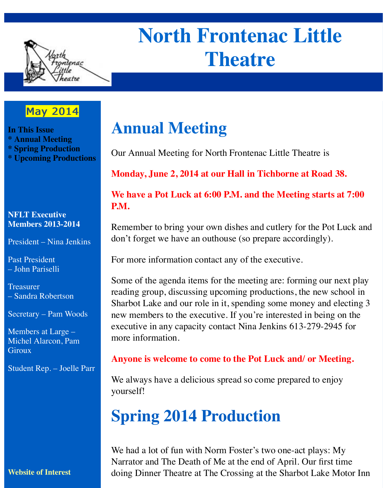

# **North Frontenac Little Theatre**

### **May 2014**

**In This Issue \* Annual Meeting \* Spring Production \* Upcoming Productions**

#### **NFLT Executive Members 2013-2014**

President – Nina Jenkins

Past President – John Pariselli

**Treasurer** – Sandra Robertson

Secretary – Pam Woods

Members at Large – Michel Alarcon, Pam **Giroux** 

Student Rep. – Joelle Parr

#### **Website of Interest**

### **Annual Meeting**

Our Annual Meeting for North Frontenac Little Theatre is

**Monday, June 2, 2014 at our Hall in Tichborne at Road 38.**

#### **We have a Pot Luck at 6:00 P.M. and the Meeting starts at 7:00 P.M.**

Remember to bring your own dishes and cutlery for the Pot Luck and don't forget we have an outhouse (so prepare accordingly).

For more information contact any of the executive.

Some of the agenda items for the meeting are: forming our next play reading group, discussing upcoming productions, the new school in Sharbot Lake and our role in it, spending some money and electing 3 new members to the executive. If you're interested in being on the executive in any capacity contact Nina Jenkins 613-279-2945 for more information.

#### **Anyone is welcome to come to the Pot Luck and/ or Meeting.**

We always have a delicious spread so come prepared to enjoy yourself!

## **Spring 2014 Production**

We had a lot of fun with Norm Foster's two one-act plays: My Narrator and The Death of Me at the end of April. Our first time doing Dinner Theatre at The Crossing at the Sharbot Lake Motor Inn